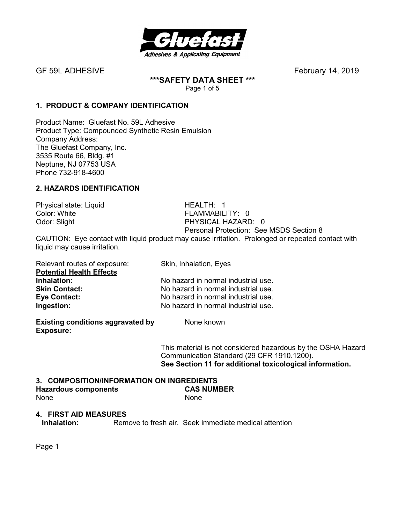

**\*\*\*SAFETY DATA SHEET \*\*\*** 

Page 1 of 5

# **1. PRODUCT & COMPANY IDENTIFICATION**

Product Name: Gluefast No. 59L Adhesive Product Type: Compounded Synthetic Resin Emulsion Company Address: The Gluefast Company, Inc. 3535 Route 66, Bldg. #1 Neptune, NJ 07753 USA Phone 732-918-4600

# **2. HAZARDS IDENTIFICATION**

Physical state: Liquid HEALTH: 1 Color: White **FLAMMABILITY: 0** 

Odor: Slight PHYSICAL HAZARD: 0 Personal Protection: See MSDS Section 8

CAUTION: Eye contact with liquid product may cause irritation. Prolonged or repeated contact with liquid may cause irritation.

| Relevant routes of exposure:    | Skin, Inhalation, Eyes              |
|---------------------------------|-------------------------------------|
| <b>Potential Health Effects</b> |                                     |
| Inhalation:                     | No hazard in normal industrial use. |
| <b>Skin Contact:</b>            | No hazard in normal industrial use. |
| <b>Eye Contact:</b>             | No hazard in normal industrial use. |
| Ingestion:                      | No hazard in normal industrial use. |

**Existing conditions aggravated by Some known Exposure:** 

This material is not considered hazardous by the OSHA Hazard Communication Standard (29 CFR 1910.1200). **See Section 11 for additional toxicological information.** 

#### **3. COMPOSITION/INFORMATION ON INGREDIENTS**

#### **Hazardous components CAS NUMBER**  None None

#### **4. FIRST AID MEASURES**

**Inhalation:** Remove to fresh air. Seek immediate medical attention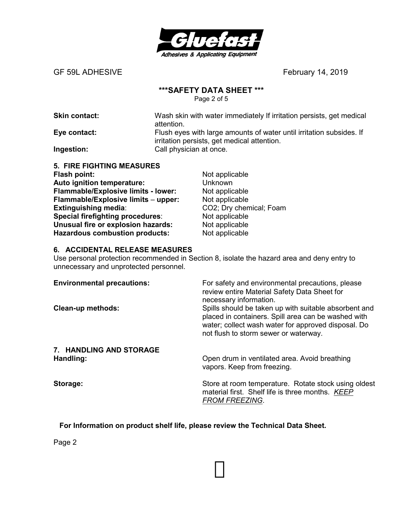

#### **\*\*\*SAFETY DATA SHEET \*\*\***

Page 2 of 5

**Skin contact:** Wash skin with water immediately If irritation persists, get medical attention.

**Eye contact:** Flush eyes with large amounts of water until irritation subsides. If irritation persists, get medical attention. **Ingestion:** Call physician at once.

| <b>5. FIRE FIGHTING MEASURES</b>      |
|---------------------------------------|
| <b>Flash point:</b>                   |
| Auto ignition temperature:            |
| Flammable/Explosive limits - lower:   |
| Flammable/Explosive limits - upper:   |
| Extinguishing media:                  |
| Special firefighting procedures:      |
| Unusual fire or explosion hazards:    |
| <b>Hazardous combustion products:</b> |
|                                       |

**Not applicable Unknown** Not applicable **Not applicable CO2**; Dry chemical; Foam Not applicable **Not applicable Not applicable** 

# **6. ACCIDENTAL RELEASE MEASURES**

Use personal protection recommended in Section 8, isolate the hazard area and deny entry to unnecessary and unprotected personnel.

| <b>Environmental precautions:</b> | For safety and environmental precautions, please<br>review entire Material Safety Data Sheet for<br>necessary information.                                                                                   |
|-----------------------------------|--------------------------------------------------------------------------------------------------------------------------------------------------------------------------------------------------------------|
| <b>Clean-up methods:</b>          | Spills should be taken up with suitable absorbent and<br>placed in containers. Spill area can be washed with<br>water; collect wash water for approved disposal. Do<br>not flush to storm sewer or waterway. |
| 7. HANDLING AND STORAGE           |                                                                                                                                                                                                              |
| Handling:                         | Open drum in ventilated area. Avoid breathing<br>vapors. Keep from freezing.                                                                                                                                 |
| Storage:                          | Store at room temperature. Rotate stock using oldest<br>material first. Shelf life is three months. KEEP<br><b>FROM FREEZING.</b>                                                                            |

**For Information on product shelf life, please review the Technical Data Sheet.**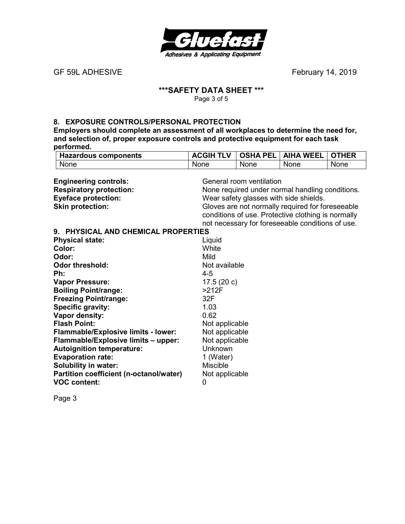

GF 59L ADHESIVE *GF 59L ADHESIVE* 

#### **\*\*\*SAFETY DATA SHEET \*\*\***  Page 3 of 5

#### **8. EXPOSURE CONTROLS/PERSONAL PROTECTION**

**Employers should complete an assessment of all workplaces to determine the need for, and selection of, proper exposure controls and protective equipment for each task performed. Hazardous components ACGIH TLV OSHA PEL AIHA WEEL OTHER**

| <b>Hazardous components</b>             | ACGIH ILV                                       | <b>OSHA PEL</b>          | AIHA WEEL                                          | <b>OIHER</b> |
|-----------------------------------------|-------------------------------------------------|--------------------------|----------------------------------------------------|--------------|
| None                                    | None                                            | None                     | <b>None</b>                                        | None         |
|                                         |                                                 |                          |                                                    |              |
| <b>Engineering controls:</b>            |                                                 | General room ventilation |                                                    |              |
| <b>Respiratory protection:</b>          | None required under normal handling conditions. |                          |                                                    |              |
| <b>Eyeface protection:</b>              | Wear safety glasses with side shields.          |                          |                                                    |              |
| <b>Skin protection:</b>                 |                                                 |                          | Gloves are not normally required for foreseeable   |              |
|                                         |                                                 |                          | conditions of use. Protective clothing is normally |              |
|                                         |                                                 |                          | not necessary for foreseeable conditions of use.   |              |
| 9. PHYSICAL AND CHEMICAL PROPERTIES     |                                                 |                          |                                                    |              |
| <b>Physical state:</b>                  | Liquid                                          |                          |                                                    |              |
| Color:                                  | White                                           |                          |                                                    |              |
| Odor:                                   | Mild                                            |                          |                                                    |              |
| <b>Odor threshold:</b>                  | Not available                                   |                          |                                                    |              |
| Ph:                                     | $4 - 5$                                         |                          |                                                    |              |
| <b>Vapor Pressure:</b>                  | 17.5(20c)                                       |                          |                                                    |              |
| <b>Boiling Point/range:</b>             | $>212F$                                         |                          |                                                    |              |
| <b>Freezing Point/range:</b>            | 32F                                             |                          |                                                    |              |
| <b>Specific gravity:</b>                | 1.03                                            |                          |                                                    |              |
| Vapor density:                          | 0.62                                            |                          |                                                    |              |
| <b>Flash Point:</b>                     | Not applicable                                  |                          |                                                    |              |
| Flammable/Explosive limits - lower:     | Not applicable                                  |                          |                                                    |              |
| Flammable/Explosive limits - upper:     | Not applicable                                  |                          |                                                    |              |
| <b>Autoignition temperature:</b>        | Unknown                                         |                          |                                                    |              |
| <b>Evaporation rate:</b>                | 1 (Water)                                       |                          |                                                    |              |
| <b>Solubility in water:</b>             | <b>Miscible</b>                                 |                          |                                                    |              |
| Partition coefficient (n-octanol/water) | Not applicable                                  |                          |                                                    |              |
| <b>VOC content:</b>                     | 0                                               |                          |                                                    |              |
|                                         |                                                 |                          |                                                    |              |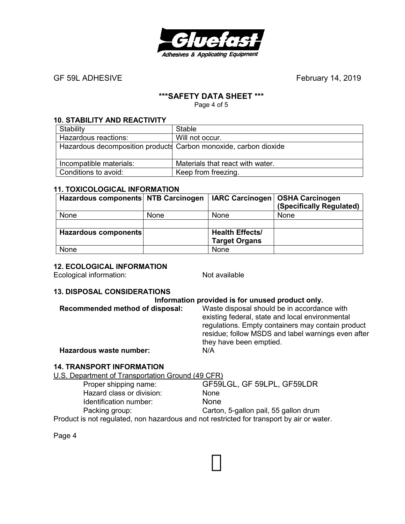

## **\*\*\*SAFETY DATA SHEET \*\*\***

Page 4 of 5

#### **10. STABILITY AND REACTIVITY**

| Stability                                                        | Stable                           |
|------------------------------------------------------------------|----------------------------------|
| Hazardous reactions:                                             | Will not occur.                  |
| Hazardous decomposition products Carbon monoxide, carbon dioxide |                                  |
|                                                                  |                                  |
| Incompatible materials:                                          | Materials that react with water. |
| Conditions to avoid:                                             | Keep from freezing.              |

#### **11. TOXICOLOGICAL INFORMATION**

| Hazardous components NTB Carcinogen |             |                        | IARC Carcinogen   OSHA Carcinogen<br>(Specifically Regulated) |
|-------------------------------------|-------------|------------------------|---------------------------------------------------------------|
| None                                | <b>None</b> | None                   | None                                                          |
|                                     |             |                        |                                                               |
| Hazardous components                |             | <b>Health Effects/</b> |                                                               |
|                                     |             | <b>Target Organs</b>   |                                                               |
| None                                |             | None                   |                                                               |

# **12. ECOLOGICAL INFORMATION**

Ecological information: Not available

#### **13. DISPOSAL CONSIDERATIONS**

|                                 | Information provided is for unused product only.                                                                                                                                                                                     |
|---------------------------------|--------------------------------------------------------------------------------------------------------------------------------------------------------------------------------------------------------------------------------------|
| Recommended method of disposal: | Waste disposal should be in accordance with<br>existing federal, state and local environmental<br>regulations. Empty containers may contain product<br>residue; follow MSDS and label warnings even after<br>they have been emptied. |
| Hazardous waste number:         | N/A                                                                                                                                                                                                                                  |

#### **14. TRANSPORT INFORMATION**

U.S. Department of Transportation Ground (49 CFR)

| Proper shipping name:     | GF59LGL, GF 59LPL, GF59LDR                                                            |
|---------------------------|---------------------------------------------------------------------------------------|
| Hazard class or division: | <b>None</b>                                                                           |
| Identification number:    | <b>None</b>                                                                           |
| Packing group:            | Carton, 5-gallon pail, 55 gallon drum                                                 |
|                           | Product is not required, non bazardous and not restricted for transport by air or way |

Product is not regulated, non hazardous and not restricted for transport by air or water.